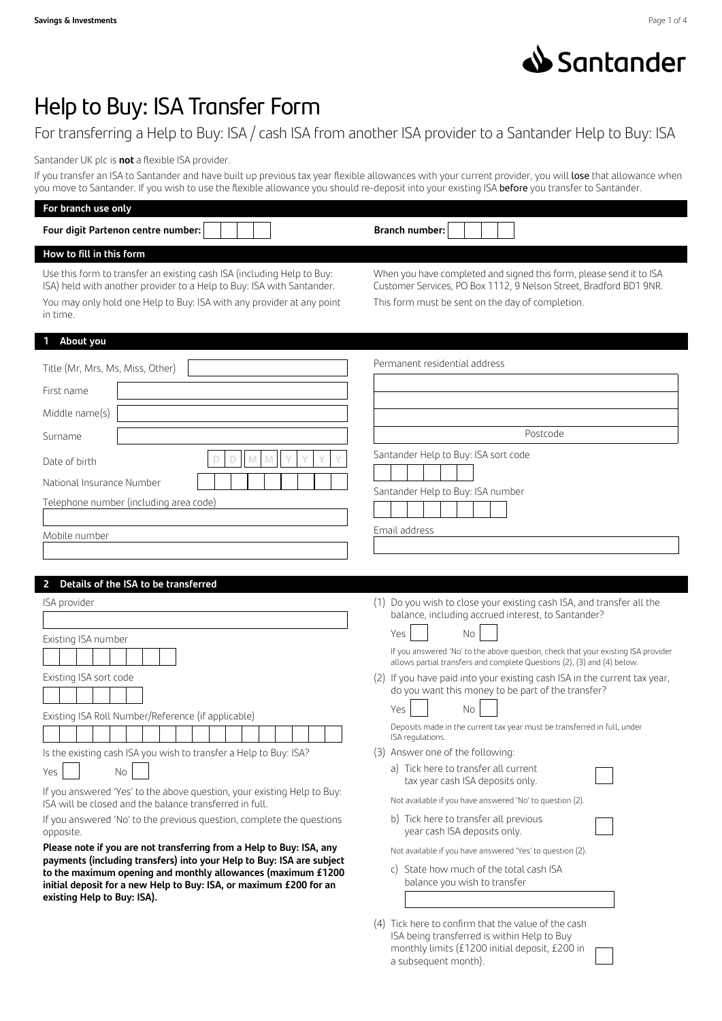

# Help to Buy: ISA Transfer Form

For transferring a Help to Buy: ISA / cash ISA from another ISA provider to a Santander Help to Buy: ISA

Santander UK plc is **not** a flexible ISA provider.

If you transfer an ISA to Santander and have built up previous tax year flexible allowances with your current provider, you will lose that allowance when you move to Santander. If you wish to use the flexible allowance you should re-deposit into your existing ISA before you transfer to Santander.

| For branch use only                                                                                                                                                                                                                  |                                                                                                                                                                                               |
|--------------------------------------------------------------------------------------------------------------------------------------------------------------------------------------------------------------------------------------|-----------------------------------------------------------------------------------------------------------------------------------------------------------------------------------------------|
| Four digit Partenon centre number:                                                                                                                                                                                                   | <b>Branch number:</b>                                                                                                                                                                         |
| How to fill in this form                                                                                                                                                                                                             |                                                                                                                                                                                               |
| Use this form to transfer an existing cash ISA (including Help to Buy:<br>ISA) held with another provider to a Help to Buy: ISA with Santander.<br>You may only hold one Help to Buy: ISA with any provider at any point<br>in time. | When you have completed and signed this form, please send it to ISA<br>Customer Services, PO Box 1112, 9 Nelson Street, Bradford BD1 9NR.<br>This form must be sent on the day of completion. |
| 1 About you                                                                                                                                                                                                                          |                                                                                                                                                                                               |
| Title (Mr, Mrs, Ms, Miss, Other)                                                                                                                                                                                                     | Permanent residential address                                                                                                                                                                 |
| First name                                                                                                                                                                                                                           |                                                                                                                                                                                               |
| Middle name(s)                                                                                                                                                                                                                       |                                                                                                                                                                                               |
| Surname                                                                                                                                                                                                                              | Postcode                                                                                                                                                                                      |
|                                                                                                                                                                                                                                      | Santander Help to Buy: ISA sort code                                                                                                                                                          |
| M<br>M<br>Date of birth                                                                                                                                                                                                              |                                                                                                                                                                                               |
| National Insurance Number                                                                                                                                                                                                            | Santander Help to Buy: ISA number                                                                                                                                                             |
| Telephone number (including area code)                                                                                                                                                                                               |                                                                                                                                                                                               |
| Mobile number                                                                                                                                                                                                                        | Email address                                                                                                                                                                                 |
|                                                                                                                                                                                                                                      |                                                                                                                                                                                               |
| 2 Details of the ISA to be transferred                                                                                                                                                                                               |                                                                                                                                                                                               |
| ISA provider                                                                                                                                                                                                                         | (1) Do you wish to close your existing cash ISA, and transfer all the                                                                                                                         |
|                                                                                                                                                                                                                                      | balance, including accrued interest, to Santander?                                                                                                                                            |
| Existing ISA number                                                                                                                                                                                                                  | Yes<br>No                                                                                                                                                                                     |
|                                                                                                                                                                                                                                      | If you answered 'No' to the above question, check that your existing ISA provider<br>allows partial transfers and complete Questions (2), (3) and (4) below.                                  |
| Existing ISA sort code                                                                                                                                                                                                               | (2) If you have paid into your existing cash ISA in the current tax year,                                                                                                                     |
|                                                                                                                                                                                                                                      | do you want this money to be part of the transfer?<br>Yes<br>No                                                                                                                               |
| Existing ISA Roll Number/Reference (if applicable)                                                                                                                                                                                   | Deposits made in the current tax year must be transferred in full, under                                                                                                                      |
|                                                                                                                                                                                                                                      | ISA regulations.                                                                                                                                                                              |
| Is the existing cash ISA you wish to transfer a Help to Buy: ISA?                                                                                                                                                                    | (3) Answer one of the following:<br>a) Tick here to transfer all current                                                                                                                      |
| Yes<br>No                                                                                                                                                                                                                            | tax year cash ISA deposits only.                                                                                                                                                              |
| If you answered 'Yes' to the above question, your existing Help to Buy:<br>ISA will be closed and the balance transferred in full.                                                                                                   | Not available if you have answered 'No' to question (2).                                                                                                                                      |
| If you answered 'No' to the previous question, complete the questions<br>opposite.                                                                                                                                                   | b) Tick here to transfer all previous<br>year cash ISA deposits only.                                                                                                                         |
| Please note if you are not transferring from a Help to Buy: ISA, any<br>payments (including transfers) into your Help to Buy: ISA are subject                                                                                        | Not available if you have answered 'Yes' to question (2).                                                                                                                                     |
| to the maximum opening and monthly allowances (maximum £1200                                                                                                                                                                         | State how much of the total cash ISA<br>C)<br>balance you wish to transfer                                                                                                                    |
| initial deposit for a new Help to Buy: ISA, or maximum £200 for an<br>existing Help to Buy: ISA).                                                                                                                                    |                                                                                                                                                                                               |
|                                                                                                                                                                                                                                      | (4) Tick here to confirm that the value of the cash                                                                                                                                           |

(4) Tick here to confirm that the value of the cash ISA being transferred is within Help to Buy monthly limits (£1200 initial deposit, £200 in a subsequent month).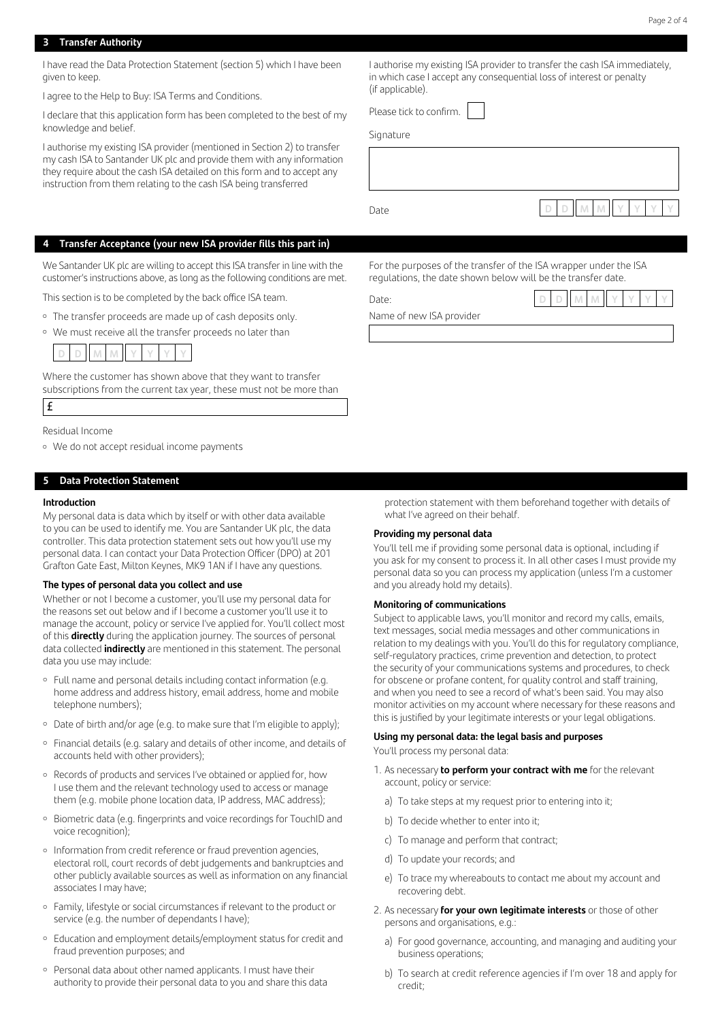#### **3 Transfer Authority**

I have read the Data Protection Statement (section 5) which I have been given to keep.

I agree to the Help to Buy: ISA Terms and Conditions.

I declare that this application form has been completed to the best of my knowledge and belief.

I authorise my existing ISA provider (mentioned in Section 2) to transfer my cash ISA to Santander UK plc and provide them with any information they require about the cash ISA detailed on this form and to accept any instruction from them relating to the cash ISA being transferred

**4 Transfer Acceptance (your new ISA provider fills this part in)**

We Santander UK plc are willing to accept this ISA transfer in line with the customer's instructions above, as long as the following conditions are met.

This section is to be completed by the back office ISA team.

- The transfer proceeds are made up of cash deposits only.
- <sup>o</sup> We must receive all the transfer proceeds no later than



Where the customer has shown above that they want to transfer subscriptions from the current tax year, these must not be more than

# £

Residual Income

• We do not accept residual income payments

# **5 Data Protection Statement**

#### **Introduction**

My personal data is data which by itself or with other data available to you can be used to identify me. You are Santander UK plc, the data controller. This data protection statement sets out how you'll use my personal data. I can contact your Data Protection Officer (DPO) at 201 Grafton Gate East, Milton Keynes, MK9 1AN if I have any questions.

#### **The types of personal data you collect and use**

Whether or not I become a customer, you'll use my personal data for the reasons set out below and if I become a customer you'll use it to manage the account, policy or service I've applied for. You'll collect most of this **directly** during the application journey. The sources of personal data collected **indirectly** are mentioned in this statement. The personal data you use may include:

- Full name and personal details including contact information (e.g. home address and address history, email address, home and mobile telephone numbers);
- Date of birth and/or age (e.g. to make sure that I'm eligible to apply);
- ¡ Financial details (e.g. salary and details of other income, and details of accounts held with other providers);
- <sup>o</sup> Records of products and services I've obtained or applied for, how I use them and the relevant technology used to access or manage them (e.g. mobile phone location data, IP address, MAC address);
- <sup>o</sup> Biometric data (e.g. fingerprints and voice recordings for TouchID and voice recognition);
- Information from credit reference or fraud prevention agencies, electoral roll, court records of debt judgements and bankruptcies and other publicly available sources as well as information on any financial associates I may have;
- ¡ Family, lifestyle or social circumstances if relevant to the product or service (e.g. the number of dependants I have);
- Education and employment details/employment status for credit and fraud prevention purposes; and
- ¡ Personal data about other named applicants. I must have their authority to provide their personal data to you and share this data

I authorise my existing ISA provider to transfer the cash ISA immediately, in which case I accept any consequential loss of interest or penalty (if applicable).

Please tick to confirm.

**Signature** 



For the purposes of the transfer of the ISA wrapper under the ISA regulations, the date shown below will be the transfer date.

Date: **D D M M Y Y Y Y**

Name of new ISA provider

protection statement with them beforehand together with details of what I've agreed on their behalf.

#### **Providing my personal data**

You'll tell me if providing some personal data is optional, including if you ask for my consent to process it. In all other cases I must provide my personal data so you can process my application (unless I'm a customer and you already hold my details).

#### **Monitoring of communications**

Subject to applicable laws, you'll monitor and record my calls, emails, text messages, social media messages and other communications in relation to my dealings with you. You'll do this for regulatory compliance, self-regulatory practices, crime prevention and detection, to protect the security of your communications systems and procedures, to check for obscene or profane content, for quality control and staff training, and when you need to see a record of what's been said. You may also monitor activities on my account where necessary for these reasons and this is justified by your legitimate interests or your legal obligations.

# **Using my personal data: the legal basis and purposes**

You'll process my personal data:

- 1. As necessary **to perform your contract with me** for the relevant account, policy or service:
	- a) To take steps at my request prior to entering into it;
	- b) To decide whether to enter into it;
	- c) To manage and perform that contract;
	- d) To update your records; and
	- e) To trace my whereabouts to contact me about my account and recovering debt.
- 2. As necessary **for your own legitimate interests** or those of other persons and organisations, e.g.:
	- a) For good governance, accounting, and managing and auditing your business operations;
	- b) To search at credit reference agencies if I'm over 18 and apply for credit;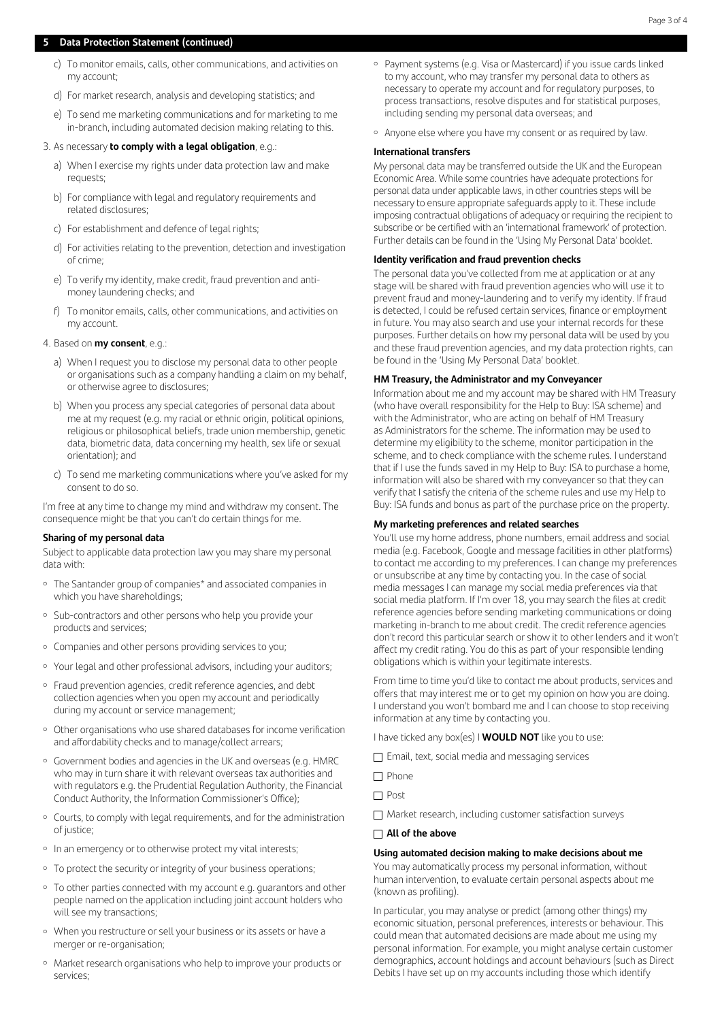# **5 Data Protection Statement (continued)**

- c) To monitor emails, calls, other communications, and activities on my account;
- d) For market research, analysis and developing statistics; and
- e) To send me marketing communications and for marketing to me in-branch, including automated decision making relating to this.

#### 3. As necessary **to comply with a legal obligation**, e.g.:

- a) When I exercise my rights under data protection law and make requests;
- b) For compliance with legal and regulatory requirements and related disclosures;
- c) For establishment and defence of legal rights;
- d) For activities relating to the prevention, detection and investigation of crime;
- e) To verify my identity, make credit, fraud prevention and antimoney laundering checks; and
- f) To monitor emails, calls, other communications, and activities on my account.

#### 4. Based on **my consent**, e.g.:

- a) When I request you to disclose my personal data to other people or organisations such as a company handling a claim on my behalf, or otherwise agree to disclosures;
- b) When you process any special categories of personal data about me at my request (e.g. my racial or ethnic origin, political opinions, religious or philosophical beliefs, trade union membership, genetic data, biometric data, data concerning my health, sex life or sexual orientation); and
- c) To send me marketing communications where you've asked for my consent to do so.

I'm free at any time to change my mind and withdraw my consent. The consequence might be that you can't do certain things for me.

#### **Sharing of my personal data**

Subject to applicable data protection law you may share my personal data with:

- <sup>o</sup> The Santander group of companies\* and associated companies in which you have shareholdings;
- <sup>o</sup> Sub-contractors and other persons who help you provide your products and services;
- ¡ Companies and other persons providing services to you;
- ¡ Your legal and other professional advisors, including your auditors;
- <sup>o</sup> Fraud prevention agencies, credit reference agencies, and debt collection agencies when you open my account and periodically during my account or service management;
- ¡ Other organisations who use shared databases for income verification and affordability checks and to manage/collect arrears;
- ¡ Government bodies and agencies in the UK and overseas (e.g. HMRC who may in turn share it with relevant overseas tax authorities and with regulators e.g. the Prudential Regulation Authority, the Financial Conduct Authority, the Information Commissioner's Office);
- ¡ Courts, to comply with legal requirements, and for the administration of justice;
- In an emergency or to otherwise protect my vital interests;
- To protect the security or integrity of your business operations;
- ¡ To other parties connected with my account e.g. guarantors and other people named on the application including joint account holders who will see my transactions;
- ¡ When you restructure or sell your business or its assets or have a merger or re-organisation;
- ¡ Market research organisations who help to improve your products or services;
- ¡ Payment systems (e.g. Visa or Mastercard) if you issue cards linked to my account, who may transfer my personal data to others as necessary to operate my account and for regulatory purposes, to process transactions, resolve disputes and for statistical purposes, including sending my personal data overseas; and
- <sup>o</sup> Anyone else where you have my consent or as required by law.

#### **International transfers**

My personal data may be transferred outside the UK and the European Economic Area. While some countries have adequate protections for personal data under applicable laws, in other countries steps will be necessary to ensure appropriate safeguards apply to it. These include imposing contractual obligations of adequacy or requiring the recipient to subscribe or be certified with an 'international framework' of protection. Further details can be found in the 'Using My Personal Data' booklet.

# **Identity verification and fraud prevention checks**

The personal data you've collected from me at application or at any stage will be shared with fraud prevention agencies who will use it to prevent fraud and money-laundering and to verify my identity. If fraud is detected, I could be refused certain services, finance or employment in future. You may also search and use your internal records for these purposes. Further details on how my personal data will be used by you and these fraud prevention agencies, and my data protection rights, can be found in the 'Using My Personal Data' booklet.

#### **HM Treasury, the Administrator and my Conveyancer**

Information about me and my account may be shared with HM Treasury (who have overall responsibility for the Help to Buy: ISA scheme) and with the Administrator, who are acting on behalf of HM Treasury as Administrators for the scheme. The information may be used to determine my eligibility to the scheme, monitor participation in the scheme, and to check compliance with the scheme rules. I understand that if I use the funds saved in my Help to Buy: ISA to purchase a home, information will also be shared with my conveyancer so that they can verify that I satisfy the criteria of the scheme rules and use my Help to Buy: ISA funds and bonus as part of the purchase price on the property.

#### **My marketing preferences and related searches**

You'll use my home address, phone numbers, email address and social media (e.g. Facebook, Google and message facilities in other platforms) to contact me according to my preferences. I can change my preferences or unsubscribe at any time by contacting you. In the case of social media messages I can manage my social media preferences via that social media platform. If I'm over 18, you may search the files at credit reference agencies before sending marketing communications or doing marketing in-branch to me about credit. The credit reference agencies don't record this particular search or show it to other lenders and it won't affect my credit rating. You do this as part of your responsible lending obligations which is within your legitimate interests.

From time to time you'd like to contact me about products, services and offers that may interest me or to get my opinion on how you are doing. I understand you won't bombard me and I can choose to stop receiving information at any time by contacting you.

I have ticked any box(es) I **WOULD NOT** like you to use:

- $\Box$  Email, text, social media and messaging services
- $\Box$  Phone

Market research, including customer satisfaction surveys

## **All of the above**

#### **Using automated decision making to make decisions about me**

You may automatically process my personal information, without human intervention, to evaluate certain personal aspects about me (known as profiling).

In particular, you may analyse or predict (among other things) my economic situation, personal preferences, interests or behaviour. This could mean that automated decisions are made about me using my personal information. For example, you might analyse certain customer demographics, account holdings and account behaviours (such as Direct Debits I have set up on my accounts including those which identify